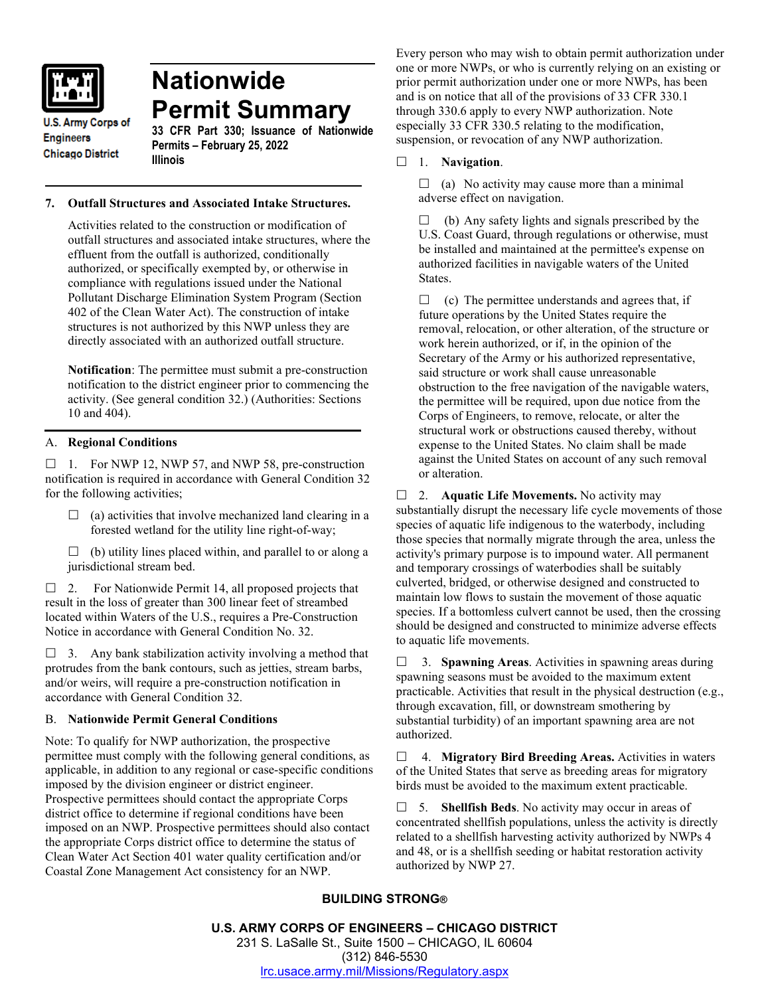

# **Nationwide Permit Summary**

**U.S. Army Corps of Engineers Chicago District** 

**33 CFR Part 330; Issuance of Nationwide Permits – February 25, 2022 Illinois**

## **7. Outfall Structures and Associated Intake Structures.**

Activities related to the construction or modification of outfall structures and associated intake structures, where the effluent from the outfall is authorized, conditionally authorized, or specifically exempted by, or otherwise in compliance with regulations issued under the National Pollutant Discharge Elimination System Program (Section 402 of the Clean Water Act). The construction of intake structures is not authorized by this NWP unless they are directly associated with an authorized outfall structure.

**Notification**: The permittee must submit a pre-construction notification to the district engineer prior to commencing the activity. (See general condition 32.) (Authorities: Sections 10 and 404).

# A. **Regional Conditions**

 $\Box$  1. For NWP 12, NWP 57, and NWP 58, pre-construction notification is required in accordance with General Condition 32 for the following activities;

- $\Box$  (a) activities that involve mechanized land clearing in a forested wetland for the utility line right-of-way;
- $\Box$  (b) utility lines placed within, and parallel to or along a jurisdictional stream bed.

 $\Box$  2. For Nationwide Permit 14, all proposed projects that result in the loss of greater than 300 linear feet of streambed located within Waters of the U.S., requires a Pre-Construction Notice in accordance with General Condition No. 32.

 $\Box$  3. Any bank stabilization activity involving a method that protrudes from the bank contours, such as jetties, stream barbs, and/or weirs, will require a pre-construction notification in accordance with General Condition 32.

## B. **Nationwide Permit General Conditions**

Note: To qualify for NWP authorization, the prospective permittee must comply with the following general conditions, as applicable, in addition to any regional or case-specific conditions imposed by the division engineer or district engineer. Prospective permittees should contact the appropriate Corps district office to determine if regional conditions have been imposed on an NWP. Prospective permittees should also contact the appropriate Corps district office to determine the status of Clean Water Act Section 401 water quality certification and/or Coastal Zone Management Act consistency for an NWP.

Every person who may wish to obtain permit authorization under one or more NWPs, or who is currently relying on an existing or prior permit authorization under one or more NWPs, has been and is on notice that all of the provisions of 33 CFR 330.1 through 330.6 apply to every NWP authorization. Note especially 33 CFR 330.5 relating to the modification, suspension, or revocation of any NWP authorization.

## 1. **Navigation**.

 $\Box$  (a) No activity may cause more than a minimal adverse effect on navigation.

 $\Box$  (b) Any safety lights and signals prescribed by the U.S. Coast Guard, through regulations or otherwise, must be installed and maintained at the permittee's expense on authorized facilities in navigable waters of the United States.

 $\Box$  (c) The permittee understands and agrees that, if future operations by the United States require the removal, relocation, or other alteration, of the structure or work herein authorized, or if, in the opinion of the Secretary of the Army or his authorized representative, said structure or work shall cause unreasonable obstruction to the free navigation of the navigable waters, the permittee will be required, upon due notice from the Corps of Engineers, to remove, relocate, or alter the structural work or obstructions caused thereby, without expense to the United States. No claim shall be made against the United States on account of any such removal or alteration.

□ 2. **Aquatic Life Movements.** No activity may substantially disrupt the necessary life cycle movements of those species of aquatic life indigenous to the waterbody, including those species that normally migrate through the area, unless the activity's primary purpose is to impound water. All permanent and temporary crossings of waterbodies shall be suitably culverted, bridged, or otherwise designed and constructed to maintain low flows to sustain the movement of those aquatic species. If a bottomless culvert cannot be used, then the crossing should be designed and constructed to minimize adverse effects to aquatic life movements.

 3. **Spawning Areas**. Activities in spawning areas during spawning seasons must be avoided to the maximum extent practicable. Activities that result in the physical destruction (e.g., through excavation, fill, or downstream smothering by substantial turbidity) of an important spawning area are not authorized.

 4. **Migratory Bird Breeding Areas.** Activities in waters of the United States that serve as breeding areas for migratory birds must be avoided to the maximum extent practicable.

 5. **Shellfish Beds**. No activity may occur in areas of concentrated shellfish populations, unless the activity is directly related to a shellfish harvesting activity authorized by NWPs 4 and 48, or is a shellfish seeding or habitat restoration activity authorized by NWP 27.

# **BUILDING STRONG®**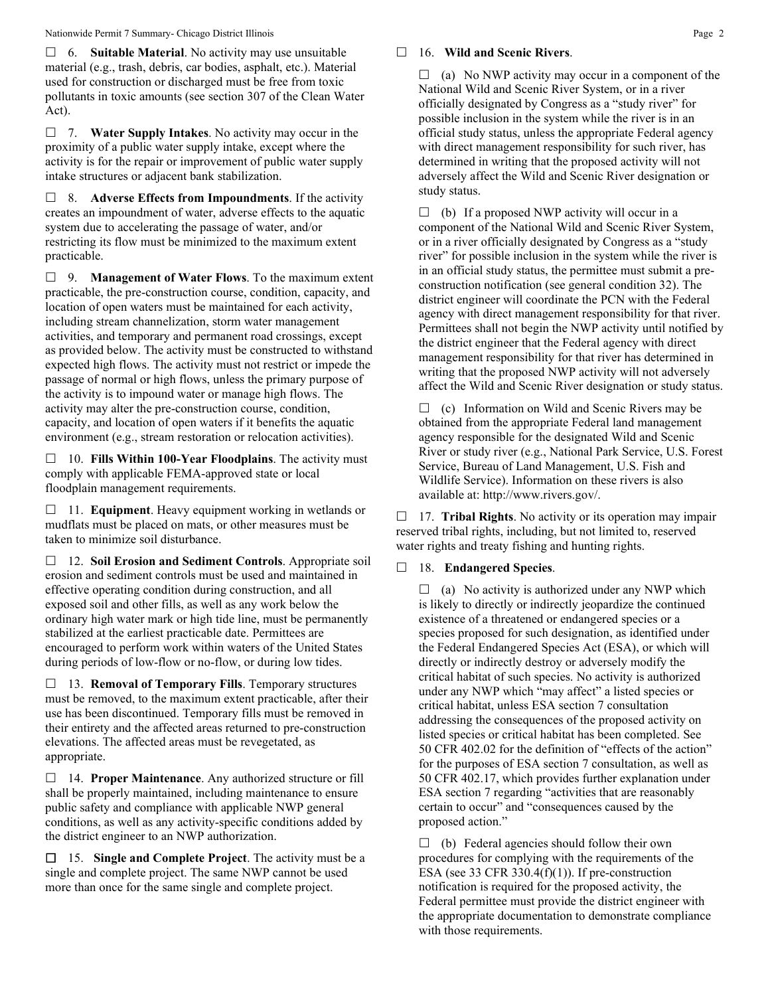6. **Suitable Material**. No activity may use unsuitable material (e.g., trash, debris, car bodies, asphalt, etc.). Material used for construction or discharged must be free from toxic pollutants in toxic amounts (see section 307 of the Clean Water Act).

 7. **Water Supply Intakes**. No activity may occur in the proximity of a public water supply intake, except where the activity is for the repair or improvement of public water supply intake structures or adjacent bank stabilization.

 8. **Adverse Effects from Impoundments**. If the activity creates an impoundment of water, adverse effects to the aquatic system due to accelerating the passage of water, and/or restricting its flow must be minimized to the maximum extent practicable.

 9. **Management of Water Flows**. To the maximum extent practicable, the pre-construction course, condition, capacity, and location of open waters must be maintained for each activity, including stream channelization, storm water management activities, and temporary and permanent road crossings, except as provided below. The activity must be constructed to withstand expected high flows. The activity must not restrict or impede the passage of normal or high flows, unless the primary purpose of the activity is to impound water or manage high flows. The activity may alter the pre-construction course, condition, capacity, and location of open waters if it benefits the aquatic environment (e.g., stream restoration or relocation activities).

 10. **Fills Within 100-Year Floodplains**. The activity must comply with applicable FEMA-approved state or local floodplain management requirements.

□ 11. **Equipment**. Heavy equipment working in wetlands or mudflats must be placed on mats, or other measures must be taken to minimize soil disturbance.

 12. **Soil Erosion and Sediment Controls**. Appropriate soil erosion and sediment controls must be used and maintained in effective operating condition during construction, and all exposed soil and other fills, as well as any work below the ordinary high water mark or high tide line, must be permanently stabilized at the earliest practicable date. Permittees are encouraged to perform work within waters of the United States during periods of low-flow or no-flow, or during low tides.

 13. **Removal of Temporary Fills**. Temporary structures must be removed, to the maximum extent practicable, after their use has been discontinued. Temporary fills must be removed in their entirety and the affected areas returned to pre-construction elevations. The affected areas must be revegetated, as appropriate.

 14. **Proper Maintenance**. Any authorized structure or fill shall be properly maintained, including maintenance to ensure public safety and compliance with applicable NWP general conditions, as well as any activity-specific conditions added by the district engineer to an NWP authorization.

 15. **Single and Complete Project**. The activity must be a single and complete project. The same NWP cannot be used more than once for the same single and complete project.

#### 16. **Wild and Scenic Rivers**.

 $\Box$  (a) No NWP activity may occur in a component of the National Wild and Scenic River System, or in a river officially designated by Congress as a "study river" for possible inclusion in the system while the river is in an official study status, unless the appropriate Federal agency with direct management responsibility for such river, has determined in writing that the proposed activity will not adversely affect the Wild and Scenic River designation or study status.

 $\Box$  (b) If a proposed NWP activity will occur in a component of the National Wild and Scenic River System, or in a river officially designated by Congress as a "study river" for possible inclusion in the system while the river is in an official study status, the permittee must submit a preconstruction notification (see general condition 32). The district engineer will coordinate the PCN with the Federal agency with direct management responsibility for that river. Permittees shall not begin the NWP activity until notified by the district engineer that the Federal agency with direct management responsibility for that river has determined in writing that the proposed NWP activity will not adversely affect the Wild and Scenic River designation or study status.

 $\Box$  (c) Information on Wild and Scenic Rivers may be obtained from the appropriate Federal land management agency responsible for the designated Wild and Scenic River or study river (e.g., National Park Service, U.S. Forest Service, Bureau of Land Management, U.S. Fish and Wildlife Service). Information on these rivers is also available at: http://www.rivers.gov/.

□ 17. **Tribal Rights**. No activity or its operation may impair reserved tribal rights, including, but not limited to, reserved water rights and treaty fishing and hunting rights.

## 18. **Endangered Species**.

 $\Box$  (a) No activity is authorized under any NWP which is likely to directly or indirectly jeopardize the continued existence of a threatened or endangered species or a species proposed for such designation, as identified under the Federal Endangered Species Act (ESA), or which will directly or indirectly destroy or adversely modify the critical habitat of such species. No activity is authorized under any NWP which "may affect" a listed species or critical habitat, unless ESA section 7 consultation addressing the consequences of the proposed activity on listed species or critical habitat has been completed. See 50 CFR 402.02 for the definition of "effects of the action" for the purposes of ESA section 7 consultation, as well as 50 CFR 402.17, which provides further explanation under ESA section 7 regarding "activities that are reasonably certain to occur" and "consequences caused by the proposed action."

 $\Box$  (b) Federal agencies should follow their own procedures for complying with the requirements of the ESA (see 33 CFR 330.4 $(f)(1)$ ). If pre-construction notification is required for the proposed activity, the Federal permittee must provide the district engineer with the appropriate documentation to demonstrate compliance with those requirements.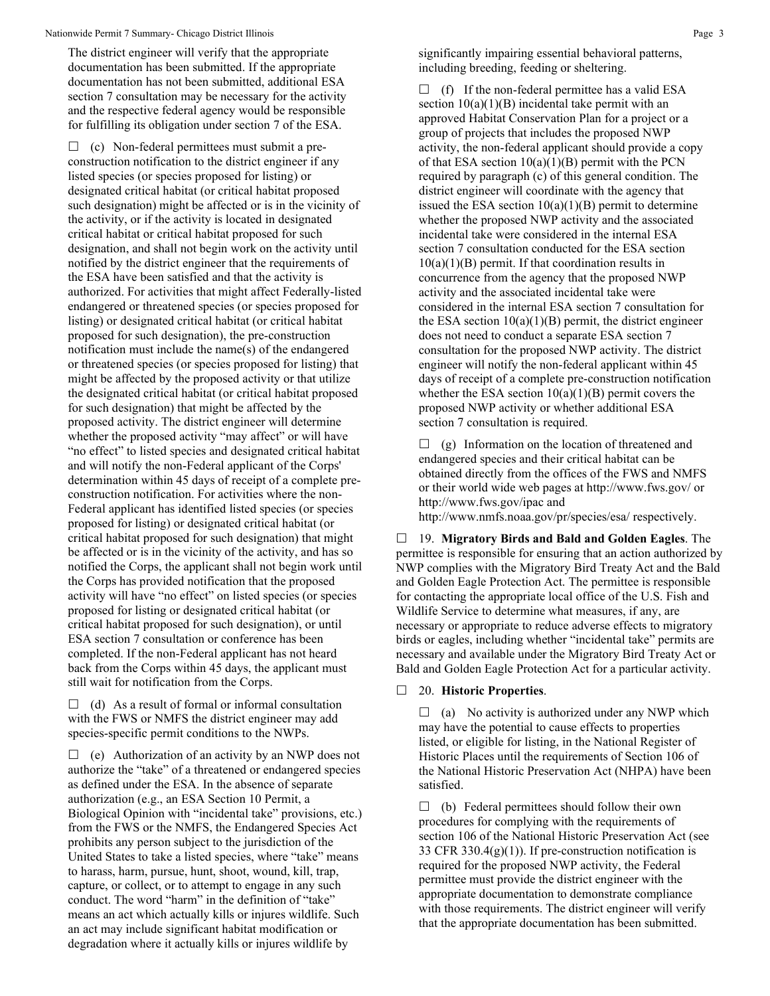The district engineer will verify that the appropriate documentation has been submitted. If the appropriate documentation has not been submitted, additional ESA section 7 consultation may be necessary for the activity and the respective federal agency would be responsible for fulfilling its obligation under section 7 of the ESA.

 $\Box$  (c) Non-federal permittees must submit a preconstruction notification to the district engineer if any listed species (or species proposed for listing) or designated critical habitat (or critical habitat proposed such designation) might be affected or is in the vicinity of the activity, or if the activity is located in designated critical habitat or critical habitat proposed for such designation, and shall not begin work on the activity until notified by the district engineer that the requirements of the ESA have been satisfied and that the activity is authorized. For activities that might affect Federally-listed endangered or threatened species (or species proposed for listing) or designated critical habitat (or critical habitat proposed for such designation), the pre-construction notification must include the name(s) of the endangered or threatened species (or species proposed for listing) that might be affected by the proposed activity or that utilize the designated critical habitat (or critical habitat proposed for such designation) that might be affected by the proposed activity. The district engineer will determine whether the proposed activity "may affect" or will have "no effect" to listed species and designated critical habitat and will notify the non-Federal applicant of the Corps' determination within 45 days of receipt of a complete preconstruction notification. For activities where the non-Federal applicant has identified listed species (or species proposed for listing) or designated critical habitat (or critical habitat proposed for such designation) that might be affected or is in the vicinity of the activity, and has so notified the Corps, the applicant shall not begin work until the Corps has provided notification that the proposed activity will have "no effect" on listed species (or species proposed for listing or designated critical habitat (or critical habitat proposed for such designation), or until ESA section 7 consultation or conference has been completed. If the non-Federal applicant has not heard back from the Corps within 45 days, the applicant must still wait for notification from the Corps.

 $\Box$  (d) As a result of formal or informal consultation with the FWS or NMFS the district engineer may add species-specific permit conditions to the NWPs.

 $\Box$  (e) Authorization of an activity by an NWP does not authorize the "take" of a threatened or endangered species as defined under the ESA. In the absence of separate authorization (e.g., an ESA Section 10 Permit, a Biological Opinion with "incidental take" provisions, etc.) from the FWS or the NMFS, the Endangered Species Act prohibits any person subject to the jurisdiction of the United States to take a listed species, where "take" means to harass, harm, pursue, hunt, shoot, wound, kill, trap, capture, or collect, or to attempt to engage in any such conduct. The word "harm" in the definition of "take" means an act which actually kills or injures wildlife. Such an act may include significant habitat modification or degradation where it actually kills or injures wildlife by

significantly impairing essential behavioral patterns, including breeding, feeding or sheltering.

 $\Box$  (f) If the non-federal permittee has a valid ESA section  $10(a)(1)(B)$  incidental take permit with an approved Habitat Conservation Plan for a project or a group of projects that includes the proposed NWP activity, the non-federal applicant should provide a copy of that ESA section  $10(a)(1)(B)$  permit with the PCN required by paragraph (c) of this general condition. The district engineer will coordinate with the agency that issued the ESA section  $10(a)(1)(B)$  permit to determine whether the proposed NWP activity and the associated incidental take were considered in the internal ESA section 7 consultation conducted for the ESA section  $10(a)(1)(B)$  permit. If that coordination results in concurrence from the agency that the proposed NWP activity and the associated incidental take were considered in the internal ESA section 7 consultation for the ESA section  $10(a)(1)(B)$  permit, the district engineer does not need to conduct a separate ESA section 7 consultation for the proposed NWP activity. The district engineer will notify the non-federal applicant within 45 days of receipt of a complete pre-construction notification whether the ESA section  $10(a)(1)(B)$  permit covers the proposed NWP activity or whether additional ESA section 7 consultation is required.

 $\Box$  (g) Information on the location of threatened and endangered species and their critical habitat can be obtained directly from the offices of the FWS and NMFS or their world wide web pages at http://www.fws.gov/ or http://www.fws.gov/ipac and http://www.nmfs.noaa.gov/pr/species/esa/ respectively.

 19. **Migratory Birds and Bald and Golden Eagles**. The permittee is responsible for ensuring that an action authorized by NWP complies with the Migratory Bird Treaty Act and the Bald and Golden Eagle Protection Act. The permittee is responsible for contacting the appropriate local office of the U.S. Fish and Wildlife Service to determine what measures, if any, are necessary or appropriate to reduce adverse effects to migratory birds or eagles, including whether "incidental take" permits are necessary and available under the Migratory Bird Treaty Act or Bald and Golden Eagle Protection Act for a particular activity.

#### 20. **Historic Properties**.

 $\Box$  (a) No activity is authorized under any NWP which may have the potential to cause effects to properties listed, or eligible for listing, in the National Register of Historic Places until the requirements of Section 106 of the National Historic Preservation Act (NHPA) have been satisfied.

 $\Box$  (b) Federal permittees should follow their own procedures for complying with the requirements of section 106 of the National Historic Preservation Act (see 33 CFR 330.4(g)(1)). If pre-construction notification is required for the proposed NWP activity, the Federal permittee must provide the district engineer with the appropriate documentation to demonstrate compliance with those requirements. The district engineer will verify that the appropriate documentation has been submitted.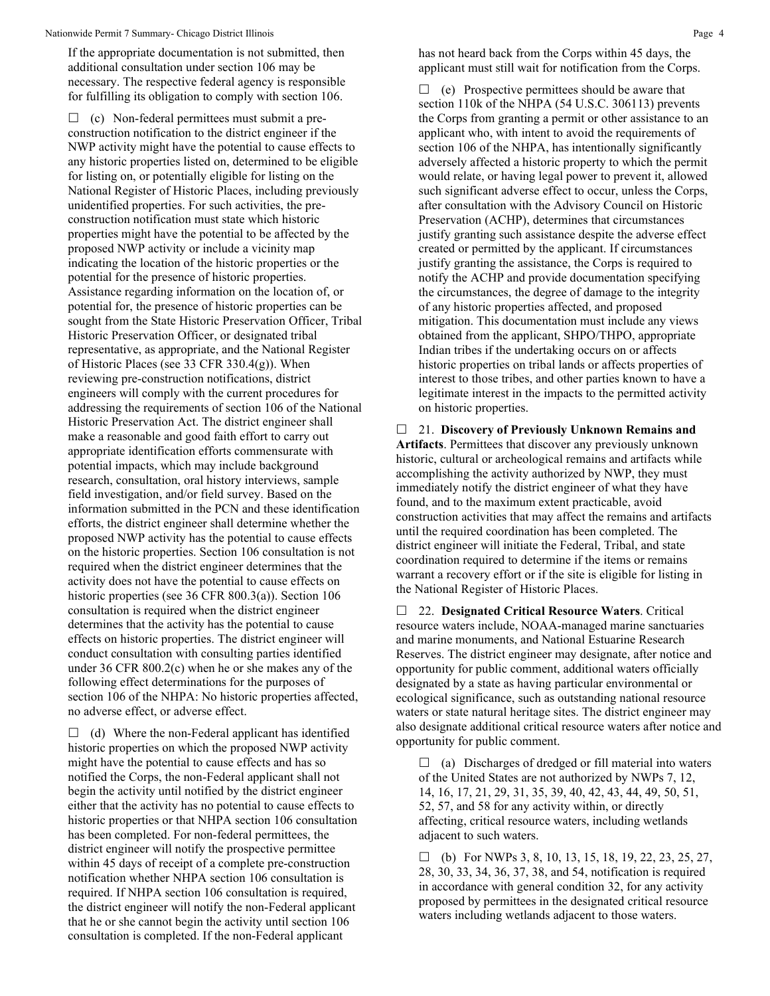If the appropriate documentation is not submitted, then additional consultation under section 106 may be necessary. The respective federal agency is responsible for fulfilling its obligation to comply with section 106.

 $\Box$  (c) Non-federal permittees must submit a preconstruction notification to the district engineer if the NWP activity might have the potential to cause effects to any historic properties listed on, determined to be eligible for listing on, or potentially eligible for listing on the National Register of Historic Places, including previously unidentified properties. For such activities, the preconstruction notification must state which historic properties might have the potential to be affected by the proposed NWP activity or include a vicinity map indicating the location of the historic properties or the potential for the presence of historic properties. Assistance regarding information on the location of, or potential for, the presence of historic properties can be sought from the State Historic Preservation Officer, Tribal Historic Preservation Officer, or designated tribal representative, as appropriate, and the National Register of Historic Places (see 33 CFR 330.4(g)). When reviewing pre-construction notifications, district engineers will comply with the current procedures for addressing the requirements of section 106 of the National Historic Preservation Act. The district engineer shall make a reasonable and good faith effort to carry out appropriate identification efforts commensurate with potential impacts, which may include background research, consultation, oral history interviews, sample field investigation, and/or field survey. Based on the information submitted in the PCN and these identification efforts, the district engineer shall determine whether the proposed NWP activity has the potential to cause effects on the historic properties. Section 106 consultation is not required when the district engineer determines that the activity does not have the potential to cause effects on historic properties (see 36 CFR 800.3(a)). Section 106 consultation is required when the district engineer determines that the activity has the potential to cause effects on historic properties. The district engineer will conduct consultation with consulting parties identified under 36 CFR 800.2(c) when he or she makes any of the following effect determinations for the purposes of section 106 of the NHPA: No historic properties affected, no adverse effect, or adverse effect.

 $\Box$  (d) Where the non-Federal applicant has identified historic properties on which the proposed NWP activity might have the potential to cause effects and has so notified the Corps, the non-Federal applicant shall not begin the activity until notified by the district engineer either that the activity has no potential to cause effects to historic properties or that NHPA section 106 consultation has been completed. For non-federal permittees, the district engineer will notify the prospective permittee within 45 days of receipt of a complete pre-construction notification whether NHPA section 106 consultation is required. If NHPA section 106 consultation is required, the district engineer will notify the non-Federal applicant that he or she cannot begin the activity until section 106 consultation is completed. If the non-Federal applicant

has not heard back from the Corps within 45 days, the applicant must still wait for notification from the Corps.

 $\Box$  (e) Prospective permittees should be aware that section 110k of the NHPA (54 U.S.C. 306113) prevents the Corps from granting a permit or other assistance to an applicant who, with intent to avoid the requirements of section 106 of the NHPA, has intentionally significantly adversely affected a historic property to which the permit would relate, or having legal power to prevent it, allowed such significant adverse effect to occur, unless the Corps, after consultation with the Advisory Council on Historic Preservation (ACHP), determines that circumstances justify granting such assistance despite the adverse effect created or permitted by the applicant. If circumstances justify granting the assistance, the Corps is required to notify the ACHP and provide documentation specifying the circumstances, the degree of damage to the integrity of any historic properties affected, and proposed mitigation. This documentation must include any views obtained from the applicant, SHPO/THPO, appropriate Indian tribes if the undertaking occurs on or affects historic properties on tribal lands or affects properties of interest to those tribes, and other parties known to have a legitimate interest in the impacts to the permitted activity on historic properties.

 21. **Discovery of Previously Unknown Remains and Artifacts**. Permittees that discover any previously unknown historic, cultural or archeological remains and artifacts while accomplishing the activity authorized by NWP, they must immediately notify the district engineer of what they have found, and to the maximum extent practicable, avoid construction activities that may affect the remains and artifacts until the required coordination has been completed. The district engineer will initiate the Federal, Tribal, and state coordination required to determine if the items or remains warrant a recovery effort or if the site is eligible for listing in the National Register of Historic Places.

 22. **Designated Critical Resource Waters**. Critical resource waters include, NOAA-managed marine sanctuaries and marine monuments, and National Estuarine Research Reserves. The district engineer may designate, after notice and opportunity for public comment, additional waters officially designated by a state as having particular environmental or ecological significance, such as outstanding national resource waters or state natural heritage sites. The district engineer may also designate additional critical resource waters after notice and opportunity for public comment.

 $\Box$  (a) Discharges of dredged or fill material into waters of the United States are not authorized by NWPs 7, 12, 14, 16, 17, 21, 29, 31, 35, 39, 40, 42, 43, 44, 49, 50, 51, 52, 57, and 58 for any activity within, or directly affecting, critical resource waters, including wetlands adjacent to such waters.

 $\Box$  (b) For NWPs 3, 8, 10, 13, 15, 18, 19, 22, 23, 25, 27, 28, 30, 33, 34, 36, 37, 38, and 54, notification is required in accordance with general condition 32, for any activity proposed by permittees in the designated critical resource waters including wetlands adjacent to those waters.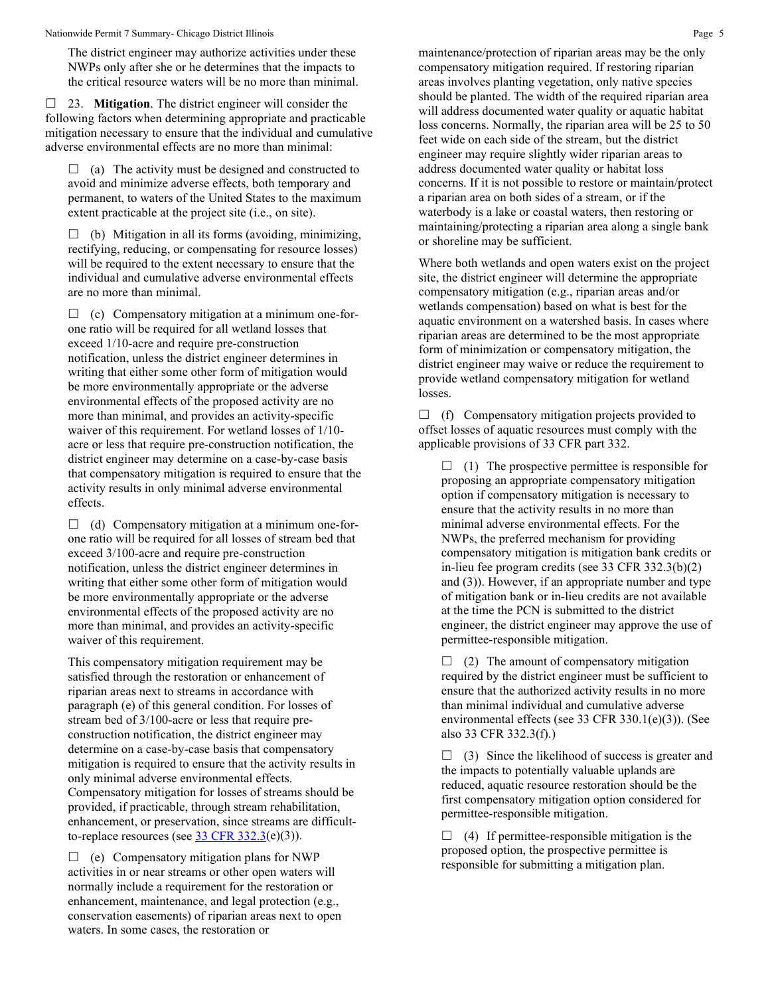The district engineer may authorize activities under these NWPs only after she or he determines that the impacts to the critical resource waters will be no more than minimal.

 23. **Mitigation**. The district engineer will consider the following factors when determining appropriate and practicable mitigation necessary to ensure that the individual and cumulative adverse environmental effects are no more than minimal:

 $\Box$  (a) The activity must be designed and constructed to avoid and minimize adverse effects, both temporary and permanent, to waters of the United States to the maximum extent practicable at the project site (i.e., on site).

 $\Box$  (b) Mitigation in all its forms (avoiding, minimizing, rectifying, reducing, or compensating for resource losses) will be required to the extent necessary to ensure that the individual and cumulative adverse environmental effects are no more than minimal.

 $\Box$  (c) Compensatory mitigation at a minimum one-forone ratio will be required for all wetland losses that exceed 1/10-acre and require pre-construction notification, unless the district engineer determines in writing that either some other form of mitigation would be more environmentally appropriate or the adverse environmental effects of the proposed activity are no more than minimal, and provides an activity-specific waiver of this requirement. For wetland losses of 1/10 acre or less that require pre-construction notification, the district engineer may determine on a case-by-case basis that compensatory mitigation is required to ensure that the activity results in only minimal adverse environmental effects.

 $\Box$  (d) Compensatory mitigation at a minimum one-forone ratio will be required for all losses of stream bed that exceed 3/100-acre and require pre-construction notification, unless the district engineer determines in writing that either some other form of mitigation would be more environmentally appropriate or the adverse environmental effects of the proposed activity are no more than minimal, and provides an activity-specific waiver of this requirement.

This compensatory mitigation requirement may be satisfied through the restoration or enhancement of riparian areas next to streams in accordance with paragraph (e) of this general condition. For losses of stream bed of 3/100-acre or less that require preconstruction notification, the district engineer may determine on a case-by-case basis that compensatory mitigation is required to ensure that the activity results in only minimal adverse environmental effects. Compensatory mitigation for losses of streams should be provided, if practicable, through stream rehabilitation, enhancement, or preservation, since streams are difficultto-replace resources (see  $33 \text{ CFR } 332.3(e)(3)$ ).

 $\Box$  (e) Compensatory mitigation plans for NWP activities in or near streams or other open waters will normally include a requirement for the restoration or enhancement, maintenance, and legal protection (e.g., conservation easements) of riparian areas next to open waters. In some cases, the restoration or

maintenance/protection of riparian areas may be the only compensatory mitigation required. If restoring riparian areas involves planting vegetation, only native species should be planted. The width of the required riparian area will address documented water quality or aquatic habitat loss concerns. Normally, the riparian area will be 25 to 50 feet wide on each side of the stream, but the district engineer may require slightly wider riparian areas to address documented water quality or habitat loss concerns. If it is not possible to restore or maintain/protect a riparian area on both sides of a stream, or if the waterbody is a lake or coastal waters, then restoring or maintaining/protecting a riparian area along a single bank or shoreline may be sufficient.

Where both wetlands and open waters exist on the project site, the district engineer will determine the appropriate compensatory mitigation (e.g., riparian areas and/or wetlands compensation) based on what is best for the aquatic environment on a watershed basis. In cases where riparian areas are determined to be the most appropriate form of minimization or compensatory mitigation, the district engineer may waive or reduce the requirement to provide wetland compensatory mitigation for wetland losses.

 $\Box$  (f) Compensatory mitigation projects provided to offset losses of aquatic resources must comply with the applicable provisions of 33 CFR part 332.

 $\Box$  (1) The prospective permittee is responsible for proposing an appropriate compensatory mitigation option if compensatory mitigation is necessary to ensure that the activity results in no more than minimal adverse environmental effects. For the NWPs, the preferred mechanism for providing compensatory mitigation is mitigation bank credits or in-lieu fee program credits (see 33 CFR 332.3(b)(2) and (3)). However, if an appropriate number and type of mitigation bank or in-lieu credits are not available at the time the PCN is submitted to the district engineer, the district engineer may approve the use of permittee-responsible mitigation.

 $\Box$  (2) The amount of compensatory mitigation required by the district engineer must be sufficient to ensure that the authorized activity results in no more than minimal individual and cumulative adverse environmental effects (see 33 CFR 330.1(e)(3)). (See also 33 CFR 332.3(f).)

 $\Box$  (3) Since the likelihood of success is greater and the impacts to potentially valuable uplands are reduced, aquatic resource restoration should be the first compensatory mitigation option considered for permittee-responsible mitigation.

 $\Box$  (4) If permittee-responsible mitigation is the proposed option, the prospective permittee is responsible for submitting a mitigation plan.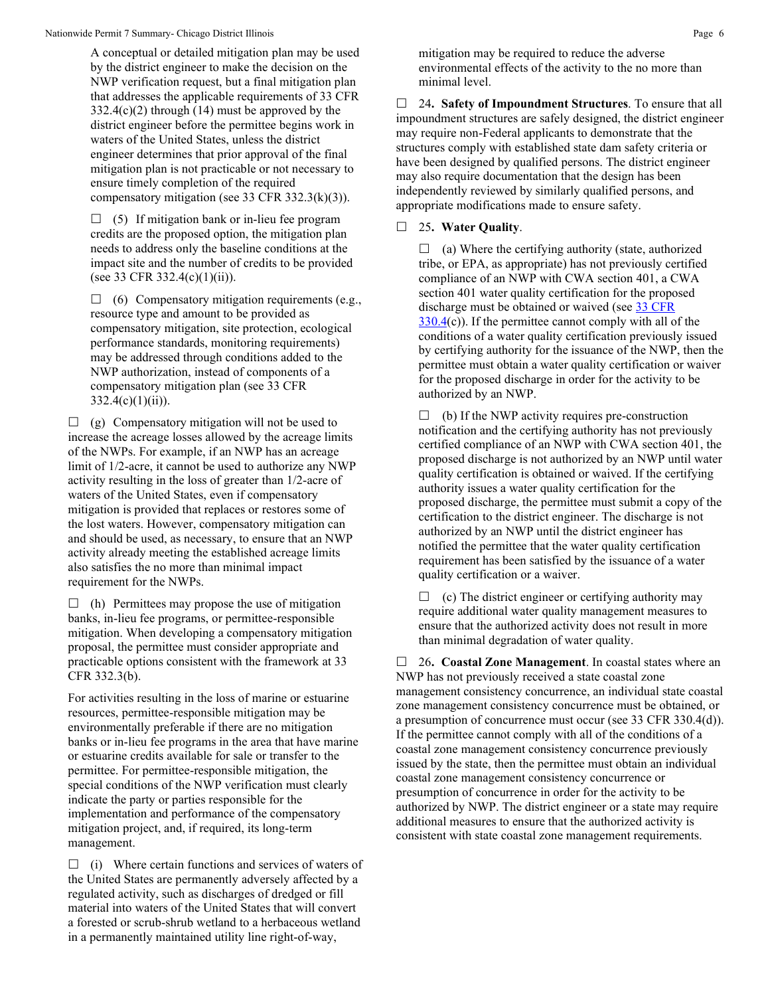A conceptual or detailed mitigation plan may be used by the district engineer to make the decision on the NWP verification request, but a final mitigation plan that addresses the applicable requirements of 33 CFR  $332.4(c)(2)$  through (14) must be approved by the district engineer before the permittee begins work in waters of the United States, unless the district engineer determines that prior approval of the final mitigation plan is not practicable or not necessary to ensure timely completion of the required compensatory mitigation (see 33 CFR 332.3(k)(3)).

 $\Box$  (5) If mitigation bank or in-lieu fee program credits are the proposed option, the mitigation plan needs to address only the baseline conditions at the impact site and the number of credits to be provided (see 33 CFR 332.4(c)(1)(ii)).

 $\Box$  (6) Compensatory mitigation requirements (e.g., resource type and amount to be provided as compensatory mitigation, site protection, ecological performance standards, monitoring requirements) may be addressed through conditions added to the NWP authorization, instead of components of a compensatory mitigation plan (see 33 CFR  $332.4(c)(1)(ii)$ ).

 $\Box$  (g) Compensatory mitigation will not be used to increase the acreage losses allowed by the acreage limits of the NWPs. For example, if an NWP has an acreage limit of 1/2-acre, it cannot be used to authorize any NWP activity resulting in the loss of greater than 1/2-acre of waters of the United States, even if compensatory mitigation is provided that replaces or restores some of the lost waters. However, compensatory mitigation can and should be used, as necessary, to ensure that an NWP activity already meeting the established acreage limits also satisfies the no more than minimal impact requirement for the NWPs.

 $\Box$  (h) Permittees may propose the use of mitigation banks, in-lieu fee programs, or permittee-responsible mitigation. When developing a compensatory mitigation proposal, the permittee must consider appropriate and practicable options consistent with the framework at 33 CFR 332.3(b).

For activities resulting in the loss of marine or estuarine resources, permittee-responsible mitigation may be environmentally preferable if there are no mitigation banks or in-lieu fee programs in the area that have marine or estuarine credits available for sale or transfer to the permittee. For permittee-responsible mitigation, the special conditions of the NWP verification must clearly indicate the party or parties responsible for the implementation and performance of the compensatory mitigation project, and, if required, its long-term management.

 $\Box$  (i) Where certain functions and services of waters of the United States are permanently adversely affected by a regulated activity, such as discharges of dredged or fill material into waters of the United States that will convert a forested or scrub-shrub wetland to a herbaceous wetland in a permanently maintained utility line right-of-way,

mitigation may be required to reduce the adverse environmental effects of the activity to the no more than minimal level.

 24**. Safety of Impoundment Structures**. To ensure that all impoundment structures are safely designed, the district engineer may require non-Federal applicants to demonstrate that the structures comply with established state dam safety criteria or have been designed by qualified persons. The district engineer may also require documentation that the design has been independently reviewed by similarly qualified persons, and appropriate modifications made to ensure safety.

25**. Water Quality**.

 $\Box$  (a) Where the certifying authority (state, authorized tribe, or EPA, as appropriate) has not previously certified compliance of an NWP with CWA section 401, a CWA section 401 water quality certification for the proposed discharge must be obtained or waived (see [33 CFR](https://www.federalregister.gov/select-citation/2021/01/13/33-CFR-330.4)  [330.4\(](https://www.federalregister.gov/select-citation/2021/01/13/33-CFR-330.4)c)). If the permittee cannot comply with all of the conditions of a water quality certification previously issued by certifying authority for the issuance of the NWP, then the permittee must obtain a water quality certification or waiver for the proposed discharge in order for the activity to be authorized by an NWP.

 $\Box$  (b) If the NWP activity requires pre-construction notification and the certifying authority has not previously certified compliance of an NWP with CWA section 401, the proposed discharge is not authorized by an NWP until water quality certification is obtained or waived. If the certifying authority issues a water quality certification for the proposed discharge, the permittee must submit a copy of the certification to the district engineer. The discharge is not authorized by an NWP until the district engineer has notified the permittee that the water quality certification requirement has been satisfied by the issuance of a water quality certification or a waiver.

 $\Box$  (c) The district engineer or certifying authority may require additional water quality management measures to ensure that the authorized activity does not result in more than minimal degradation of water quality.

 26**. Coastal Zone Management**. In coastal states where an NWP has not previously received a state coastal zone management consistency concurrence, an individual state coastal zone management consistency concurrence must be obtained, or a presumption of concurrence must occur (see 33 CFR 330.4(d)). If the permittee cannot comply with all of the conditions of a coastal zone management consistency concurrence previously issued by the state, then the permittee must obtain an individual coastal zone management consistency concurrence or presumption of concurrence in order for the activity to be authorized by NWP. The district engineer or a state may require additional measures to ensure that the authorized activity is consistent with state coastal zone management requirements.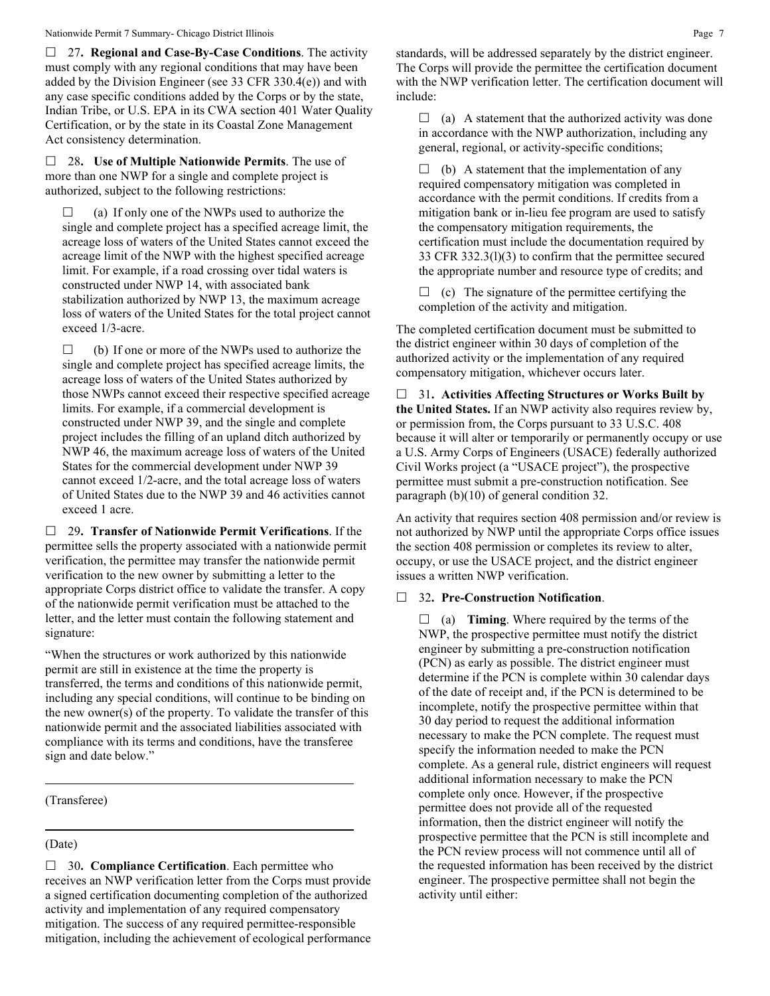#### Nationwide Permit 7 Summary- Chicago District Illinois **Page 7** Page 7

 27**. Regional and Case-By-Case Conditions**. The activity must comply with any regional conditions that may have been added by the Division Engineer (see 33 CFR 330.4(e)) and with any case specific conditions added by the Corps or by the state, Indian Tribe, or U.S. EPA in its CWA section 401 Water Quality Certification, or by the state in its Coastal Zone Management Act consistency determination.

 28**. Use of Multiple Nationwide Permits**. The use of more than one NWP for a single and complete project is authorized, subject to the following restrictions:

 $\Box$  (a) If only one of the NWPs used to authorize the single and complete project has a specified acreage limit, the acreage loss of waters of the United States cannot exceed the acreage limit of the NWP with the highest specified acreage limit. For example, if a road crossing over tidal waters is constructed under NWP 14, with associated bank stabilization authorized by NWP 13, the maximum acreage loss of waters of the United States for the total project cannot exceed 1/3-acre.

 $\Box$  (b) If one or more of the NWPs used to authorize the single and complete project has specified acreage limits, the acreage loss of waters of the United States authorized by those NWPs cannot exceed their respective specified acreage limits. For example, if a commercial development is constructed under NWP 39, and the single and complete project includes the filling of an upland ditch authorized by NWP 46, the maximum acreage loss of waters of the United States for the commercial development under NWP 39 cannot exceed 1/2-acre, and the total acreage loss of waters of United States due to the NWP 39 and 46 activities cannot exceed 1 acre.

 29**. Transfer of Nationwide Permit Verifications**. If the permittee sells the property associated with a nationwide permit verification, the permittee may transfer the nationwide permit verification to the new owner by submitting a letter to the appropriate Corps district office to validate the transfer. A copy of the nationwide permit verification must be attached to the letter, and the letter must contain the following statement and signature:

"When the structures or work authorized by this nationwide permit are still in existence at the time the property is transferred, the terms and conditions of this nationwide permit, including any special conditions, will continue to be binding on the new owner(s) of the property. To validate the transfer of this nationwide permit and the associated liabilities associated with compliance with its terms and conditions, have the transferee sign and date below."

#### (Transferee)

#### (Date)

□ 30. **Compliance Certification**. Each permittee who receives an NWP verification letter from the Corps must provide a signed certification documenting completion of the authorized activity and implementation of any required compensatory mitigation. The success of any required permittee-responsible mitigation, including the achievement of ecological performance standards, will be addressed separately by the district engineer. The Corps will provide the permittee the certification document with the NWP verification letter. The certification document will include:

 $\Box$  (a) A statement that the authorized activity was done in accordance with the NWP authorization, including any general, regional, or activity-specific conditions;

 $\Box$  (b) A statement that the implementation of any required compensatory mitigation was completed in accordance with the permit conditions. If credits from a mitigation bank or in-lieu fee program are used to satisfy the compensatory mitigation requirements, the certification must include the documentation required by 33 CFR 332.3(l)(3) to confirm that the permittee secured the appropriate number and resource type of credits; and

 $\Box$  (c) The signature of the permittee certifying the completion of the activity and mitigation.

The completed certification document must be submitted to the district engineer within 30 days of completion of the authorized activity or the implementation of any required compensatory mitigation, whichever occurs later.

 31**. Activities Affecting Structures or Works Built by the United States.** If an NWP activity also requires review by, or permission from, the Corps pursuant to 33 U.S.C. 408 because it will alter or temporarily or permanently occupy or use a U.S. Army Corps of Engineers (USACE) federally authorized Civil Works project (a "USACE project"), the prospective permittee must submit a pre-construction notification. See paragraph (b)(10) of general condition 32.

An activity that requires section 408 permission and/or review is not authorized by NWP until the appropriate Corps office issues the section 408 permission or completes its review to alter, occupy, or use the USACE project, and the district engineer issues a written NWP verification.

# 32**. Pre-Construction Notification**.

 $\Box$  (a) **Timing**. Where required by the terms of the NWP, the prospective permittee must notify the district engineer by submitting a pre-construction notification (PCN) as early as possible. The district engineer must determine if the PCN is complete within 30 calendar days of the date of receipt and, if the PCN is determined to be incomplete, notify the prospective permittee within that 30 day period to request the additional information necessary to make the PCN complete. The request must specify the information needed to make the PCN complete. As a general rule, district engineers will request additional information necessary to make the PCN complete only once. However, if the prospective permittee does not provide all of the requested information, then the district engineer will notify the prospective permittee that the PCN is still incomplete and the PCN review process will not commence until all of the requested information has been received by the district engineer. The prospective permittee shall not begin the activity until either: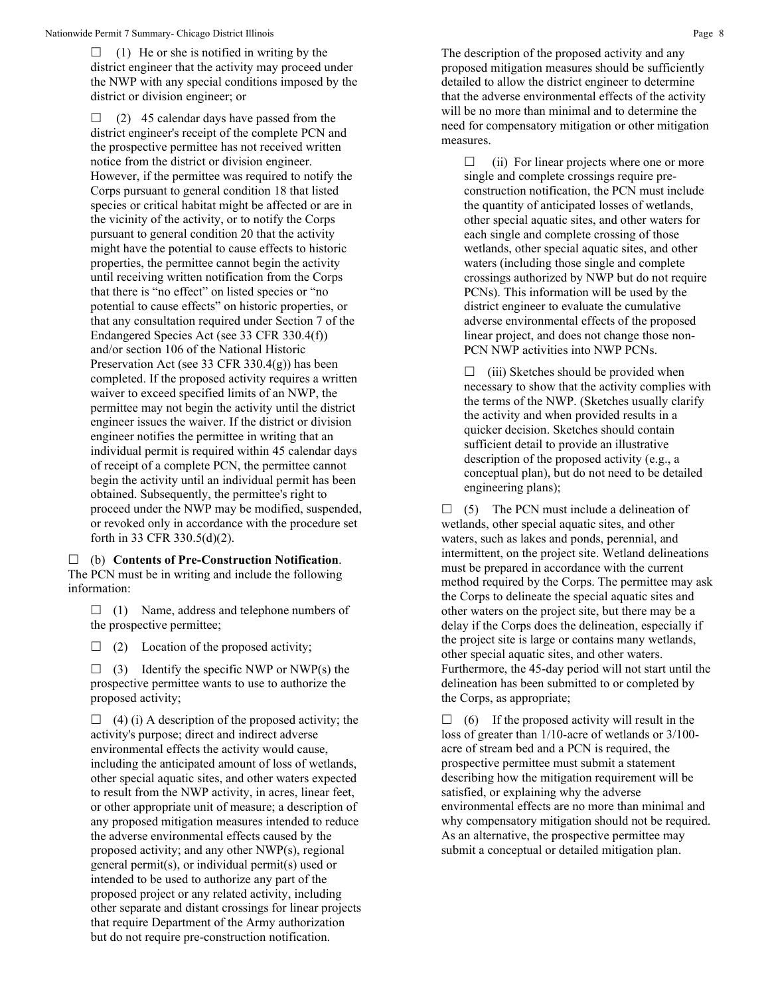$\Box$  (1) He or she is notified in writing by the district engineer that the activity may proceed under the NWP with any special conditions imposed by the district or division engineer; or

 $\Box$  (2) 45 calendar days have passed from the district engineer's receipt of the complete PCN and the prospective permittee has not received written notice from the district or division engineer. However, if the permittee was required to notify the Corps pursuant to general condition 18 that listed species or critical habitat might be affected or are in the vicinity of the activity, or to notify the Corps pursuant to general condition 20 that the activity might have the potential to cause effects to historic properties, the permittee cannot begin the activity until receiving written notification from the Corps that there is "no effect" on listed species or "no potential to cause effects" on historic properties, or that any consultation required under Section 7 of the Endangered Species Act (see 33 CFR 330.4(f)) and/or section 106 of the National Historic Preservation Act (see 33 CFR 330.4(g)) has been completed. If the proposed activity requires a written waiver to exceed specified limits of an NWP, the permittee may not begin the activity until the district engineer issues the waiver. If the district or division engineer notifies the permittee in writing that an individual permit is required within 45 calendar days of receipt of a complete PCN, the permittee cannot begin the activity until an individual permit has been obtained. Subsequently, the permittee's right to proceed under the NWP may be modified, suspended, or revoked only in accordance with the procedure set forth in 33 CFR 330.5(d)(2).

 (b) **Contents of Pre-Construction Notification**. The PCN must be in writing and include the following information:

 $\Box$  (1) Name, address and telephone numbers of the prospective permittee;

 $\Box$  (2) Location of the proposed activity;

 $\Box$  (3) Identify the specific NWP or NWP(s) the prospective permittee wants to use to authorize the proposed activity;

 $\Box$  (4) (i) A description of the proposed activity; the activity's purpose; direct and indirect adverse environmental effects the activity would cause, including the anticipated amount of loss of wetlands, other special aquatic sites, and other waters expected to result from the NWP activity, in acres, linear feet, or other appropriate unit of measure; a description of any proposed mitigation measures intended to reduce the adverse environmental effects caused by the proposed activity; and any other NWP(s), regional general permit(s), or individual permit(s) used or intended to be used to authorize any part of the proposed project or any related activity, including other separate and distant crossings for linear projects that require Department of the Army authorization but do not require pre-construction notification.

The description of the proposed activity and any proposed mitigation measures should be sufficiently detailed to allow the district engineer to determine that the adverse environmental effects of the activity will be no more than minimal and to determine the need for compensatory mitigation or other mitigation measures.

 $\Box$  (ii) For linear projects where one or more single and complete crossings require preconstruction notification, the PCN must include the quantity of anticipated losses of wetlands, other special aquatic sites, and other waters for each single and complete crossing of those wetlands, other special aquatic sites, and other waters (including those single and complete crossings authorized by NWP but do not require PCNs). This information will be used by the district engineer to evaluate the cumulative adverse environmental effects of the proposed linear project, and does not change those non-PCN NWP activities into NWP PCNs.

 $\Box$  (iii) Sketches should be provided when necessary to show that the activity complies with the terms of the NWP. (Sketches usually clarify the activity and when provided results in a quicker decision. Sketches should contain sufficient detail to provide an illustrative description of the proposed activity (e.g., a conceptual plan), but do not need to be detailed engineering plans);

 $\Box$  (5) The PCN must include a delineation of wetlands, other special aquatic sites, and other waters, such as lakes and ponds, perennial, and intermittent, on the project site. Wetland delineations must be prepared in accordance with the current method required by the Corps. The permittee may ask the Corps to delineate the special aquatic sites and other waters on the project site, but there may be a delay if the Corps does the delineation, especially if the project site is large or contains many wetlands, other special aquatic sites, and other waters. Furthermore, the 45-day period will not start until the delineation has been submitted to or completed by the Corps, as appropriate;

 $\Box$  (6) If the proposed activity will result in the loss of greater than 1/10-acre of wetlands or 3/100 acre of stream bed and a PCN is required, the prospective permittee must submit a statement describing how the mitigation requirement will be satisfied, or explaining why the adverse environmental effects are no more than minimal and why compensatory mitigation should not be required. As an alternative, the prospective permittee may submit a conceptual or detailed mitigation plan.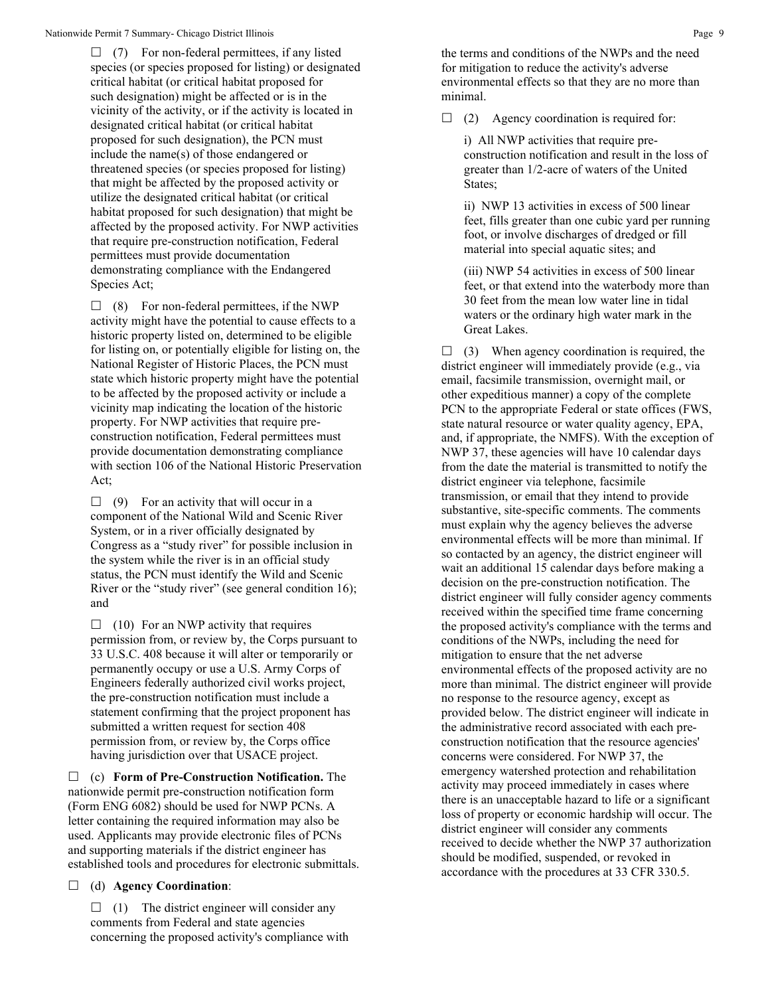$\Box$  (7) For non-federal permittees, if any listed species (or species proposed for listing) or designated critical habitat (or critical habitat proposed for such designation) might be affected or is in the vicinity of the activity, or if the activity is located in designated critical habitat (or critical habitat proposed for such designation), the PCN must include the name(s) of those endangered or threatened species (or species proposed for listing) that might be affected by the proposed activity or utilize the designated critical habitat (or critical habitat proposed for such designation) that might be affected by the proposed activity. For NWP activities that require pre-construction notification, Federal permittees must provide documentation demonstrating compliance with the Endangered Species Act;

 $\Box$  (8) For non-federal permittees, if the NWP activity might have the potential to cause effects to a historic property listed on, determined to be eligible for listing on, or potentially eligible for listing on, the National Register of Historic Places, the PCN must state which historic property might have the potential to be affected by the proposed activity or include a vicinity map indicating the location of the historic property. For NWP activities that require preconstruction notification, Federal permittees must provide documentation demonstrating compliance with section 106 of the National Historic Preservation Act;

 $\Box$  (9) For an activity that will occur in a component of the National Wild and Scenic River System, or in a river officially designated by Congress as a "study river" for possible inclusion in the system while the river is in an official study status, the PCN must identify the Wild and Scenic River or the "study river" (see general condition 16); and

 $\Box$  (10) For an NWP activity that requires permission from, or review by, the Corps pursuant to 33 U.S.C. 408 because it will alter or temporarily or permanently occupy or use a U.S. Army Corps of Engineers federally authorized civil works project, the pre-construction notification must include a statement confirming that the project proponent has submitted a written request for section 408 permission from, or review by, the Corps office having jurisdiction over that USACE project.

 (c) **Form of Pre-Construction Notification.** The nationwide permit pre-construction notification form (Form ENG 6082) should be used for NWP PCNs. A letter containing the required information may also be used. Applicants may provide electronic files of PCNs and supporting materials if the district engineer has established tools and procedures for electronic submittals.

(d) **Agency Coordination**:

 $\Box$  (1) The district engineer will consider any comments from Federal and state agencies concerning the proposed activity's compliance with the terms and conditions of the NWPs and the need for mitigation to reduce the activity's adverse environmental effects so that they are no more than minimal.

 $\Box$  (2) Agency coordination is required for:

i) All NWP activities that require preconstruction notification and result in the loss of greater than 1/2-acre of waters of the United States;

ii) NWP 13 activities in excess of 500 linear feet, fills greater than one cubic yard per running foot, or involve discharges of dredged or fill material into special aquatic sites; and

(iii) NWP 54 activities in excess of 500 linear feet, or that extend into the waterbody more than 30 feet from the mean low water line in tidal waters or the ordinary high water mark in the Great Lakes.

 $\Box$  (3) When agency coordination is required, the district engineer will immediately provide (e.g., via email, facsimile transmission, overnight mail, or other expeditious manner) a copy of the complete PCN to the appropriate Federal or state offices (FWS, state natural resource or water quality agency, EPA, and, if appropriate, the NMFS). With the exception of NWP 37, these agencies will have 10 calendar days from the date the material is transmitted to notify the district engineer via telephone, facsimile transmission, or email that they intend to provide substantive, site-specific comments. The comments must explain why the agency believes the adverse environmental effects will be more than minimal. If so contacted by an agency, the district engineer will wait an additional 15 calendar days before making a decision on the pre-construction notification. The district engineer will fully consider agency comments received within the specified time frame concerning the proposed activity's compliance with the terms and conditions of the NWPs, including the need for mitigation to ensure that the net adverse environmental effects of the proposed activity are no more than minimal. The district engineer will provide no response to the resource agency, except as provided below. The district engineer will indicate in the administrative record associated with each preconstruction notification that the resource agencies' concerns were considered. For NWP 37, the emergency watershed protection and rehabilitation activity may proceed immediately in cases where there is an unacceptable hazard to life or a significant loss of property or economic hardship will occur. The district engineer will consider any comments received to decide whether the NWP 37 authorization should be modified, suspended, or revoked in accordance with the procedures at 33 CFR 330.5.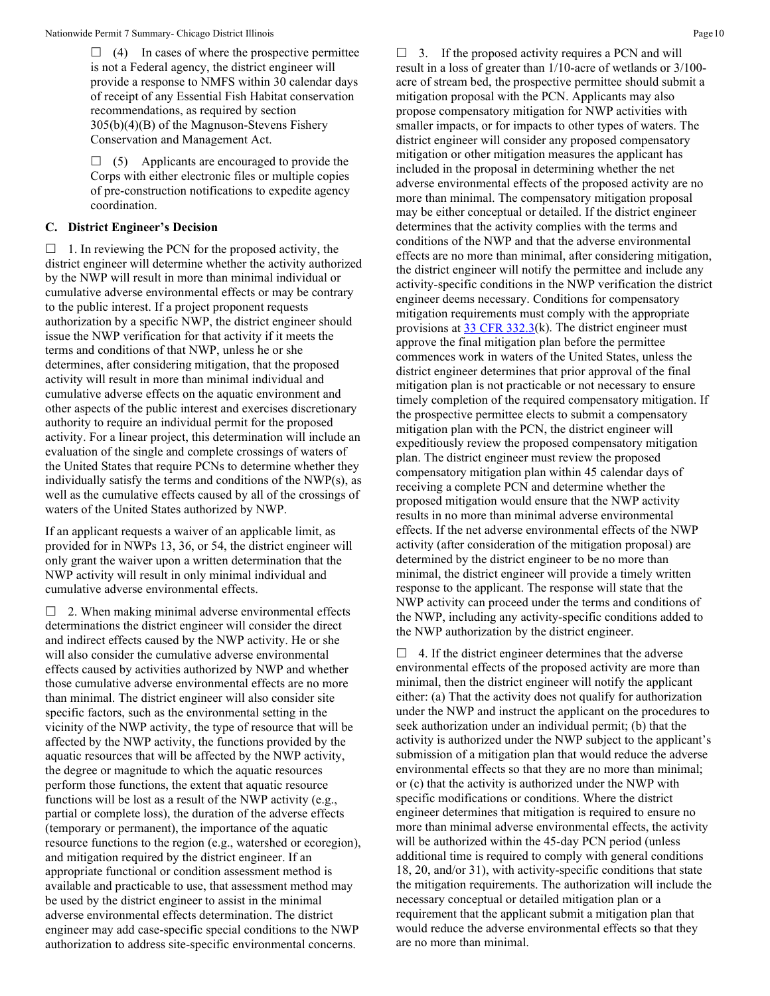$\Box$  (4) In cases of where the prospective permittee is not a Federal agency, the district engineer will provide a response to NMFS within 30 calendar days of receipt of any Essential Fish Habitat conservation recommendations, as required by section 305(b)(4)(B) of the Magnuson-Stevens Fishery Conservation and Management Act.

 $\Box$  (5) Applicants are encouraged to provide the Corps with either electronic files or multiple copies of pre-construction notifications to expedite agency coordination.

#### **C. District Engineer's Decision**

 $\Box$  1. In reviewing the PCN for the proposed activity, the district engineer will determine whether the activity authorized by the NWP will result in more than minimal individual or cumulative adverse environmental effects or may be contrary to the public interest. If a project proponent requests authorization by a specific NWP, the district engineer should issue the NWP verification for that activity if it meets the terms and conditions of that NWP, unless he or she determines, after considering mitigation, that the proposed activity will result in more than minimal individual and cumulative adverse effects on the aquatic environment and other aspects of the public interest and exercises discretionary authority to require an individual permit for the proposed activity. For a linear project, this determination will include an evaluation of the single and complete crossings of waters of the United States that require PCNs to determine whether they individually satisfy the terms and conditions of the NWP(s), as well as the cumulative effects caused by all of the crossings of waters of the United States authorized by NWP.

If an applicant requests a waiver of an applicable limit, as provided for in NWPs 13, 36, or 54, the district engineer will only grant the waiver upon a written determination that the NWP activity will result in only minimal individual and cumulative adverse environmental effects.

 $\Box$  2. When making minimal adverse environmental effects determinations the district engineer will consider the direct and indirect effects caused by the NWP activity. He or she will also consider the cumulative adverse environmental effects caused by activities authorized by NWP and whether those cumulative adverse environmental effects are no more than minimal. The district engineer will also consider site specific factors, such as the environmental setting in the vicinity of the NWP activity, the type of resource that will be affected by the NWP activity, the functions provided by the aquatic resources that will be affected by the NWP activity, the degree or magnitude to which the aquatic resources perform those functions, the extent that aquatic resource functions will be lost as a result of the NWP activity (e.g., partial or complete loss), the duration of the adverse effects (temporary or permanent), the importance of the aquatic resource functions to the region (e.g., watershed or ecoregion), and mitigation required by the district engineer. If an appropriate functional or condition assessment method is available and practicable to use, that assessment method may be used by the district engineer to assist in the minimal adverse environmental effects determination. The district engineer may add case-specific special conditions to the NWP authorization to address site-specific environmental concerns.

 $\Box$  3. If the proposed activity requires a PCN and will result in a loss of greater than 1/10-acre of wetlands or 3/100 acre of stream bed, the prospective permittee should submit a mitigation proposal with the PCN. Applicants may also propose compensatory mitigation for NWP activities with smaller impacts, or for impacts to other types of waters. The district engineer will consider any proposed compensatory mitigation or other mitigation measures the applicant has included in the proposal in determining whether the net adverse environmental effects of the proposed activity are no more than minimal. The compensatory mitigation proposal may be either conceptual or detailed. If the district engineer determines that the activity complies with the terms and conditions of the NWP and that the adverse environmental effects are no more than minimal, after considering mitigation, the district engineer will notify the permittee and include any activity-specific conditions in the NWP verification the district engineer deems necessary. Conditions for compensatory mitigation requirements must comply with the appropriate provisions at [33 CFR 332.3\(](https://www.federalregister.gov/select-citation/2021/01/13/33-CFR-332.3)k). The district engineer must approve the final mitigation plan before the permittee commences work in waters of the United States, unless the district engineer determines that prior approval of the final mitigation plan is not practicable or not necessary to ensure timely completion of the required compensatory mitigation. If the prospective permittee elects to submit a compensatory mitigation plan with the PCN, the district engineer will expeditiously review the proposed compensatory mitigation plan. The district engineer must review the proposed compensatory mitigation plan within 45 calendar days of receiving a complete PCN and determine whether the proposed mitigation would ensure that the NWP activity results in no more than minimal adverse environmental effects. If the net adverse environmental effects of the NWP activity (after consideration of the mitigation proposal) are determined by the district engineer to be no more than minimal, the district engineer will provide a timely written response to the applicant. The response will state that the NWP activity can proceed under the terms and conditions of the NWP, including any activity-specific conditions added to the NWP authorization by the district engineer.

 $\Box$  4. If the district engineer determines that the adverse environmental effects of the proposed activity are more than minimal, then the district engineer will notify the applicant either: (a) That the activity does not qualify for authorization under the NWP and instruct the applicant on the procedures to seek authorization under an individual permit; (b) that the activity is authorized under the NWP subject to the applicant's submission of a mitigation plan that would reduce the adverse environmental effects so that they are no more than minimal; or (c) that the activity is authorized under the NWP with specific modifications or conditions. Where the district engineer determines that mitigation is required to ensure no more than minimal adverse environmental effects, the activity will be authorized within the 45-day PCN period (unless additional time is required to comply with general conditions 18, 20, and/or 31), with activity-specific conditions that state the mitigation requirements. The authorization will include the necessary conceptual or detailed mitigation plan or a requirement that the applicant submit a mitigation plan that would reduce the adverse environmental effects so that they are no more than minimal.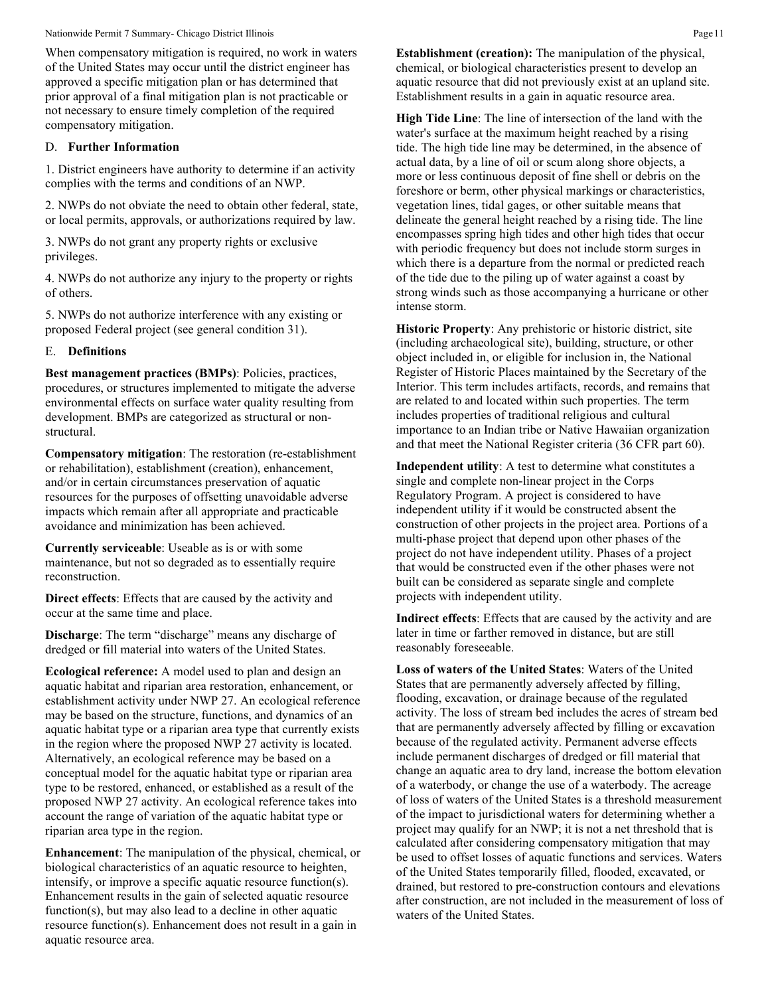#### Nationwide Permit 7 Summary- Chicago District Illinois **Page 11** and the state of the state of the Page 11 and the Permit 7 Summary- Chicago District Illinois **Page 11**

When compensatory mitigation is required, no work in waters of the United States may occur until the district engineer has approved a specific mitigation plan or has determined that prior approval of a final mitigation plan is not practicable or not necessary to ensure timely completion of the required compensatory mitigation.

#### D. **Further Information**

1. District engineers have authority to determine if an activity complies with the terms and conditions of an NWP.

2. NWPs do not obviate the need to obtain other federal, state, or local permits, approvals, or authorizations required by law.

3. NWPs do not grant any property rights or exclusive privileges.

4. NWPs do not authorize any injury to the property or rights of others.

5. NWPs do not authorize interference with any existing or proposed Federal project (see general condition 31).

#### E. **Definitions**

**Best management practices (BMPs)**: Policies, practices, procedures, or structures implemented to mitigate the adverse environmental effects on surface water quality resulting from development. BMPs are categorized as structural or nonstructural.

**Compensatory mitigation**: The restoration (re-establishment or rehabilitation), establishment (creation), enhancement, and/or in certain circumstances preservation of aquatic resources for the purposes of offsetting unavoidable adverse impacts which remain after all appropriate and practicable avoidance and minimization has been achieved.

**Currently serviceable**: Useable as is or with some maintenance, but not so degraded as to essentially require reconstruction.

**Direct effects**: Effects that are caused by the activity and occur at the same time and place.

**Discharge**: The term "discharge" means any discharge of dredged or fill material into waters of the United States.

**Ecological reference:** A model used to plan and design an aquatic habitat and riparian area restoration, enhancement, or establishment activity under NWP 27. An ecological reference may be based on the structure, functions, and dynamics of an aquatic habitat type or a riparian area type that currently exists in the region where the proposed NWP 27 activity is located. Alternatively, an ecological reference may be based on a conceptual model for the aquatic habitat type or riparian area type to be restored, enhanced, or established as a result of the proposed NWP 27 activity. An ecological reference takes into account the range of variation of the aquatic habitat type or riparian area type in the region.

**Enhancement**: The manipulation of the physical, chemical, or biological characteristics of an aquatic resource to heighten, intensify, or improve a specific aquatic resource function(s). Enhancement results in the gain of selected aquatic resource function(s), but may also lead to a decline in other aquatic resource function(s). Enhancement does not result in a gain in aquatic resource area.

**Establishment (creation):** The manipulation of the physical, chemical, or biological characteristics present to develop an aquatic resource that did not previously exist at an upland site. Establishment results in a gain in aquatic resource area.

**High Tide Line**: The line of intersection of the land with the water's surface at the maximum height reached by a rising tide. The high tide line may be determined, in the absence of actual data, by a line of oil or scum along shore objects, a more or less continuous deposit of fine shell or debris on the foreshore or berm, other physical markings or characteristics, vegetation lines, tidal gages, or other suitable means that delineate the general height reached by a rising tide. The line encompasses spring high tides and other high tides that occur with periodic frequency but does not include storm surges in which there is a departure from the normal or predicted reach of the tide due to the piling up of water against a coast by strong winds such as those accompanying a hurricane or other intense storm.

**Historic Property**: Any prehistoric or historic district, site (including archaeological site), building, structure, or other object included in, or eligible for inclusion in, the National Register of Historic Places maintained by the Secretary of the Interior. This term includes artifacts, records, and remains that are related to and located within such properties. The term includes properties of traditional religious and cultural importance to an Indian tribe or Native Hawaiian organization and that meet the National Register criteria (36 CFR part 60).

**Independent utility**: A test to determine what constitutes a single and complete non-linear project in the Corps Regulatory Program. A project is considered to have independent utility if it would be constructed absent the construction of other projects in the project area. Portions of a multi-phase project that depend upon other phases of the project do not have independent utility. Phases of a project that would be constructed even if the other phases were not built can be considered as separate single and complete projects with independent utility.

**Indirect effects**: Effects that are caused by the activity and are later in time or farther removed in distance, but are still reasonably foreseeable.

**Loss of waters of the United States**: Waters of the United States that are permanently adversely affected by filling, flooding, excavation, or drainage because of the regulated activity. The loss of stream bed includes the acres of stream bed that are permanently adversely affected by filling or excavation because of the regulated activity. Permanent adverse effects include permanent discharges of dredged or fill material that change an aquatic area to dry land, increase the bottom elevation of a waterbody, or change the use of a waterbody. The acreage of loss of waters of the United States is a threshold measurement of the impact to jurisdictional waters for determining whether a project may qualify for an NWP; it is not a net threshold that is calculated after considering compensatory mitigation that may be used to offset losses of aquatic functions and services. Waters of the United States temporarily filled, flooded, excavated, or drained, but restored to pre-construction contours and elevations after construction, are not included in the measurement of loss of waters of the United States.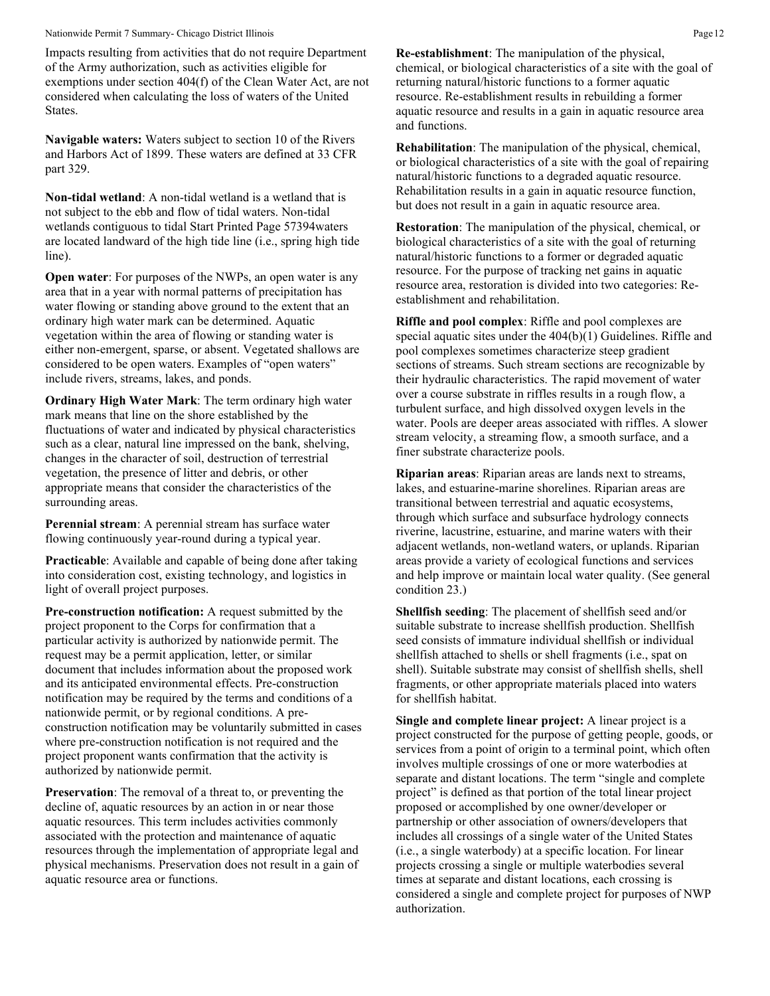#### Nationwide Permit 7 Summary- Chicago District Illinois **Page 12** Page 12

Impacts resulting from activities that do not require Department of the Army authorization, such as activities eligible for exemptions under section 404(f) of the Clean Water Act, are not considered when calculating the loss of waters of the United States.

**Navigable waters:** Waters subject to section 10 of the Rivers and Harbors Act of 1899. These waters are defined at 33 CFR part 329.

**Non-tidal wetland**: A non-tidal wetland is a wetland that is not subject to the ebb and flow of tidal waters. Non-tidal wetlands contiguous to tidal Start Printed Page 57394waters are located landward of the high tide line (i.e., spring high tide line).

**Open water**: For purposes of the NWPs, an open water is any area that in a year with normal patterns of precipitation has water flowing or standing above ground to the extent that an ordinary high water mark can be determined. Aquatic vegetation within the area of flowing or standing water is either non-emergent, sparse, or absent. Vegetated shallows are considered to be open waters. Examples of "open waters" include rivers, streams, lakes, and ponds.

**Ordinary High Water Mark**: The term ordinary high water mark means that line on the shore established by the fluctuations of water and indicated by physical characteristics such as a clear, natural line impressed on the bank, shelving, changes in the character of soil, destruction of terrestrial vegetation, the presence of litter and debris, or other appropriate means that consider the characteristics of the surrounding areas.

**Perennial stream**: A perennial stream has surface water flowing continuously year-round during a typical year.

**Practicable**: Available and capable of being done after taking into consideration cost, existing technology, and logistics in light of overall project purposes.

**Pre-construction notification:** A request submitted by the project proponent to the Corps for confirmation that a particular activity is authorized by nationwide permit. The request may be a permit application, letter, or similar document that includes information about the proposed work and its anticipated environmental effects. Pre-construction notification may be required by the terms and conditions of a nationwide permit, or by regional conditions. A preconstruction notification may be voluntarily submitted in cases where pre-construction notification is not required and the project proponent wants confirmation that the activity is authorized by nationwide permit.

**Preservation**: The removal of a threat to, or preventing the decline of, aquatic resources by an action in or near those aquatic resources. This term includes activities commonly associated with the protection and maintenance of aquatic resources through the implementation of appropriate legal and physical mechanisms. Preservation does not result in a gain of aquatic resource area or functions.

**Re-establishment**: The manipulation of the physical, chemical, or biological characteristics of a site with the goal of returning natural/historic functions to a former aquatic resource. Re-establishment results in rebuilding a former aquatic resource and results in a gain in aquatic resource area and functions.

**Rehabilitation**: The manipulation of the physical, chemical, or biological characteristics of a site with the goal of repairing natural/historic functions to a degraded aquatic resource. Rehabilitation results in a gain in aquatic resource function, but does not result in a gain in aquatic resource area.

**Restoration**: The manipulation of the physical, chemical, or biological characteristics of a site with the goal of returning natural/historic functions to a former or degraded aquatic resource. For the purpose of tracking net gains in aquatic resource area, restoration is divided into two categories: Reestablishment and rehabilitation.

**Riffle and pool complex**: Riffle and pool complexes are special aquatic sites under the 404(b)(1) Guidelines. Riffle and pool complexes sometimes characterize steep gradient sections of streams. Such stream sections are recognizable by their hydraulic characteristics. The rapid movement of water over a course substrate in riffles results in a rough flow, a turbulent surface, and high dissolved oxygen levels in the water. Pools are deeper areas associated with riffles. A slower stream velocity, a streaming flow, a smooth surface, and a finer substrate characterize pools.

**Riparian areas**: Riparian areas are lands next to streams, lakes, and estuarine-marine shorelines. Riparian areas are transitional between terrestrial and aquatic ecosystems, through which surface and subsurface hydrology connects riverine, lacustrine, estuarine, and marine waters with their adjacent wetlands, non-wetland waters, or uplands. Riparian areas provide a variety of ecological functions and services and help improve or maintain local water quality. (See general condition 23.)

**Shellfish seeding**: The placement of shellfish seed and/or suitable substrate to increase shellfish production. Shellfish seed consists of immature individual shellfish or individual shellfish attached to shells or shell fragments (i.e., spat on shell). Suitable substrate may consist of shellfish shells, shell fragments, or other appropriate materials placed into waters for shellfish habitat.

**Single and complete linear project:** A linear project is a project constructed for the purpose of getting people, goods, or services from a point of origin to a terminal point, which often involves multiple crossings of one or more waterbodies at separate and distant locations. The term "single and complete project" is defined as that portion of the total linear project proposed or accomplished by one owner/developer or partnership or other association of owners/developers that includes all crossings of a single water of the United States (i.e., a single waterbody) at a specific location. For linear projects crossing a single or multiple waterbodies several times at separate and distant locations, each crossing is considered a single and complete project for purposes of NWP authorization.